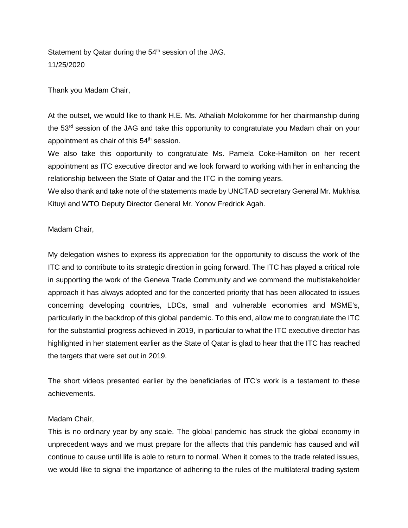Statement by Qatar during the 54<sup>th</sup> session of the JAG. 11/25/2020

Thank you Madam Chair,

At the outset, we would like to thank H.E. Ms. Athaliah Molokomme for her chairmanship during the 53<sup>rd</sup> session of the JAG and take this opportunity to congratulate you Madam chair on your appointment as chair of this 54<sup>th</sup> session.

We also take this opportunity to congratulate Ms. Pamela Coke-Hamilton on her recent appointment as ITC executive director and we look forward to working with her in enhancing the relationship between the State of Qatar and the ITC in the coming years.

We also thank and take note of the statements made by UNCTAD secretary General Mr. Mukhisa Kituyi and WTO Deputy Director General Mr. Yonov Fredrick Agah.

## Madam Chair,

My delegation wishes to express its appreciation for the opportunity to discuss the work of the ITC and to contribute to its strategic direction in going forward. The ITC has played a critical role in supporting the work of the Geneva Trade Community and we commend the multistakeholder approach it has always adopted and for the concerted priority that has been allocated to issues concerning developing countries, LDCs, small and vulnerable economies and MSME's, particularly in the backdrop of this global pandemic. To this end, allow me to congratulate the ITC for the substantial progress achieved in 2019, in particular to what the ITC executive director has highlighted in her statement earlier as the State of Qatar is glad to hear that the ITC has reached the targets that were set out in 2019.

The short videos presented earlier by the beneficiaries of ITC's work is a testament to these achievements.

## Madam Chair,

This is no ordinary year by any scale. The global pandemic has struck the global economy in unprecedent ways and we must prepare for the affects that this pandemic has caused and will continue to cause until life is able to return to normal. When it comes to the trade related issues, we would like to signal the importance of adhering to the rules of the multilateral trading system